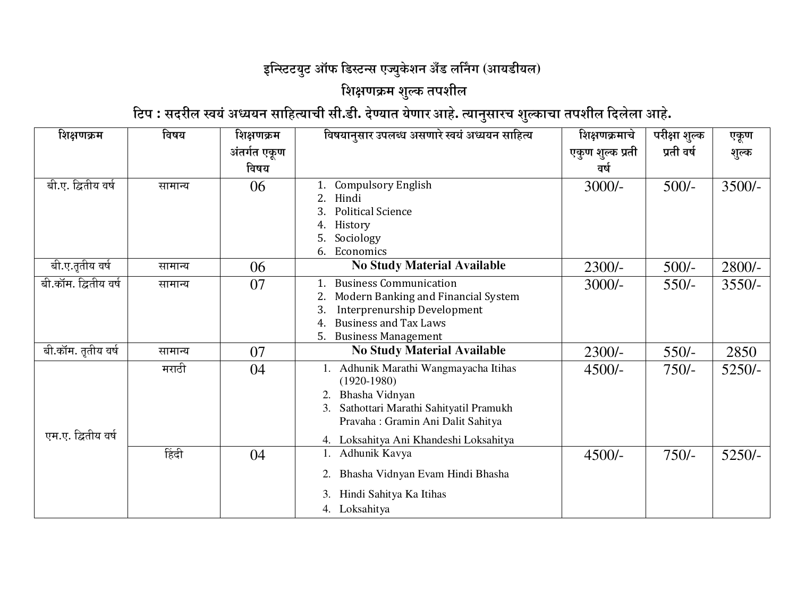## इन्स्टिटयुट ऑफ डिस्टन्स एज्युकेशन अँड लर्निंग (आयडीयल)

## शिक्षणक्रम शुल्क तपशील

िटप : सदरील स्वयं अध्ययन साहित्याची सी.डी. देण्यात येणार आहे. त्यानुसारच शुल्काचा तपशील दिलेला आहे.

| शिक्षणक्रम           | विषय    | शिक्षणक्रम   | विषयानुसार उपलब्ध असणारे स्वयं अध्ययन साहित्य                                                                                                                                                       | शिक्षणक्रमाचे    | परीक्षा शुल्क | एकूण     |
|----------------------|---------|--------------|-----------------------------------------------------------------------------------------------------------------------------------------------------------------------------------------------------|------------------|---------------|----------|
|                      |         | अंतर्गत एकूण |                                                                                                                                                                                                     | एकुण शुल्क प्रती | प्रती वर्ष    | शुल्क    |
|                      |         | विषय         |                                                                                                                                                                                                     | वर्ष             |               |          |
| बी.ए. द्वितीय वर्ष   | सामान्य | 06           | <b>Compulsory English</b><br>Hindi<br><b>Political Science</b><br>3.<br>History<br>Sociology<br>5.<br>Economics<br>6.                                                                               | $3000/-$         | $500/-$       | $3500/-$ |
| बी.ए.तृतीय वर्ष      | सामान्य | 06           | <b>No Study Material Available</b>                                                                                                                                                                  | 2300/-           | $500/-$       | 2800/-   |
| बी.कॉम. द्वितीय वर्ष | सामान्य | 07           | <b>Business Communication</b><br>Modern Banking and Financial System<br>2.<br>Interprenurship Development<br><b>Business and Tax Laws</b><br>4.<br><b>Business Management</b><br>5.                 | $3000/-$         | $550/-$       | $3550/-$ |
| बी.कॉम. तृतीय वर्ष   | सामान्य | 07           | <b>No Study Material Available</b>                                                                                                                                                                  | $2300/-$         | $550/-$       | 2850     |
| एम.ए. द्वितीय वर्ष   | मराठी   | 04           | 1. Adhunik Marathi Wangmayacha Itihas<br>$(1920-1980)$<br>Bhasha Vidnyan<br>Sathottari Marathi Sahityatil Pramukh<br>Pravaha: Gramin Ani Dalit Sahitya<br>Loksahitya Ani Khandeshi Loksahitya<br>4. | $4500/-$         | $750/-$       | $5250/-$ |
|                      | हिंदी   | 04           | Adhunik Kavya<br>Bhasha Vidnyan Evam Hindi Bhasha<br>2.<br>Hindi Sahitya Ka Itihas<br>3.<br>4. Loksahitya                                                                                           | $4500/-$         | $750/-$       | $5250/-$ |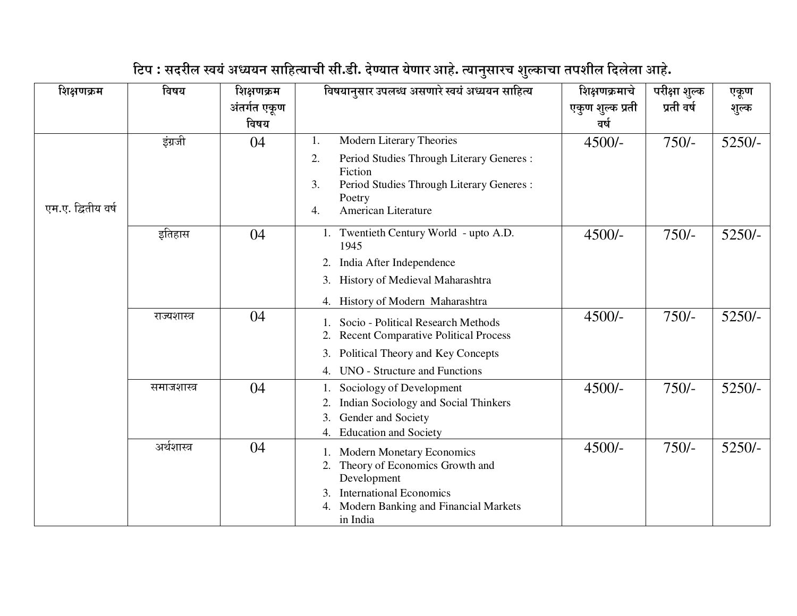| शिक्षणक्रम         | विषय         | शिक्षणक्रम<br>अंतर्गत एकूण<br>विषय | विषयानुसार उपलब्ध असणारे स्वयं अध्ययन साहित्य                                                                                                                                          | शिक्षणक्रमाचे<br>एकुण शुल्क प्रती<br>वर्ष | परीक्षा शुल्क<br>प्रती वर्ष | एकूण<br>शुल्क |
|--------------------|--------------|------------------------------------|----------------------------------------------------------------------------------------------------------------------------------------------------------------------------------------|-------------------------------------------|-----------------------------|---------------|
| एम.ए. द्वितीय वर्ष | इंग्रजी      | 04                                 | Modern Literary Theories<br>1.<br>2.<br>Period Studies Through Literary Generes :<br>Fiction<br>3.<br>Period Studies Through Literary Generes :<br>Poetry<br>American Literature<br>4. | $4500/-$                                  | $750/-$                     | $5250/-$      |
|                    | इतिहास       | 04                                 | 1. Twentieth Century World - upto A.D.<br>1945<br>India After Independence<br>2.<br>History of Medieval Maharashtra<br>3.<br>History of Modern Maharashtra<br>4.                       | $4500/-$                                  | $750/-$                     | $5250/-$      |
|                    | राज्यशास्त्र | 04                                 | Socio - Political Research Methods<br>1.<br><b>Recent Comparative Political Process</b><br>Political Theory and Key Concepts<br>3.<br><b>UNO</b> - Structure and Functions<br>4.       | $4500/-$                                  | $750/-$                     | $5250/-$      |
|                    | समाजशास्त्र  | 04                                 | Sociology of Development<br>Indian Sociology and Social Thinkers<br>2.<br>Gender and Society<br>3.<br><b>Education and Society</b><br>4.                                               | $4500/-$                                  | $750/-$                     | $5250/-$      |
|                    | अर्थशास्त्र  | 04                                 | 1. Modern Monetary Economics<br>Theory of Economics Growth and<br>2.<br>Development<br><b>International Economics</b><br>Modern Banking and Financial Markets<br>4.<br>in India        | $4500/-$                                  | $750/-$                     | $5250/-$      |

## टिप : सदरील स्वयं अध्ययन साहित्याची सी.डी. देण्यात येणार आहे. त्यानुसारच शुल्काचा तपशील दिलेला आहे.